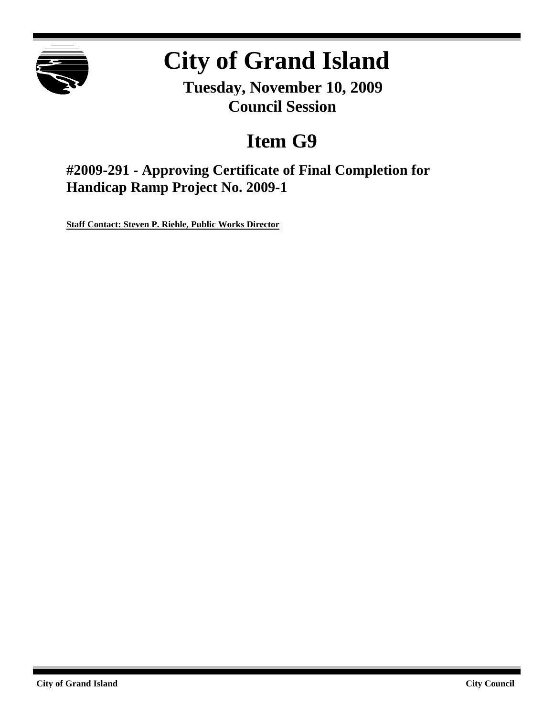

# **City of Grand Island**

**Tuesday, November 10, 2009 Council Session**

## **Item G9**

**#2009-291 - Approving Certificate of Final Completion for Handicap Ramp Project No. 2009-1**

**Staff Contact: Steven P. Riehle, Public Works Director**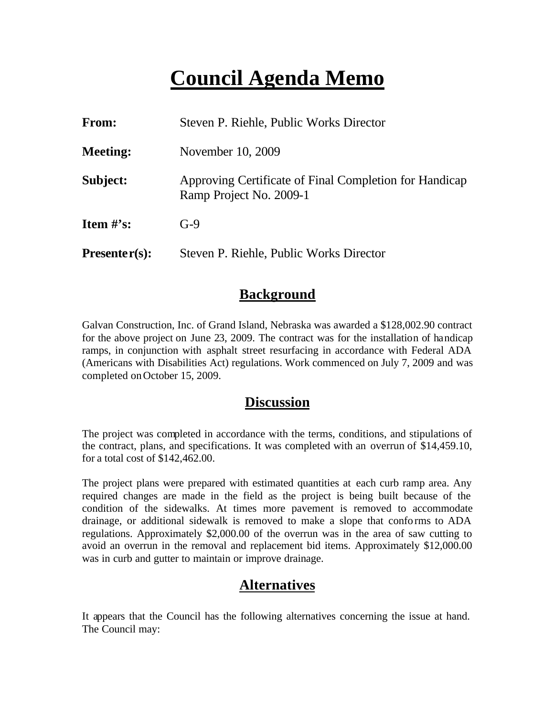## **Council Agenda Memo**

| From:           | Steven P. Riehle, Public Works Director                                           |  |  |  |
|-----------------|-----------------------------------------------------------------------------------|--|--|--|
| <b>Meeting:</b> | November 10, 2009                                                                 |  |  |  |
| Subject:        | Approving Certificate of Final Completion for Handicap<br>Ramp Project No. 2009-1 |  |  |  |
| Item $\#$ 's:   | $G-9$                                                                             |  |  |  |
| $Presenter(s):$ | Steven P. Riehle, Public Works Director                                           |  |  |  |

#### **Background**

Galvan Construction, Inc. of Grand Island, Nebraska was awarded a \$128,002.90 contract for the above project on June 23, 2009. The contract was for the installation of handicap ramps, in conjunction with asphalt street resurfacing in accordance with Federal ADA (Americans with Disabilities Act) regulations. Work commenced on July 7, 2009 and was completed on October 15, 2009.

#### **Discussion**

The project was completed in accordance with the terms, conditions, and stipulations of the contract, plans, and specifications. It was completed with an overrun of \$14,459.10, for a total cost of \$142,462.00.

The project plans were prepared with estimated quantities at each curb ramp area. Any required changes are made in the field as the project is being built because of the condition of the sidewalks. At times more pavement is removed to accommodate drainage, or additional sidewalk is removed to make a slope that conforms to ADA regulations. Approximately \$2,000.00 of the overrun was in the area of saw cutting to avoid an overrun in the removal and replacement bid items. Approximately \$12,000.00 was in curb and gutter to maintain or improve drainage.

### **Alternatives**

It appears that the Council has the following alternatives concerning the issue at hand. The Council may: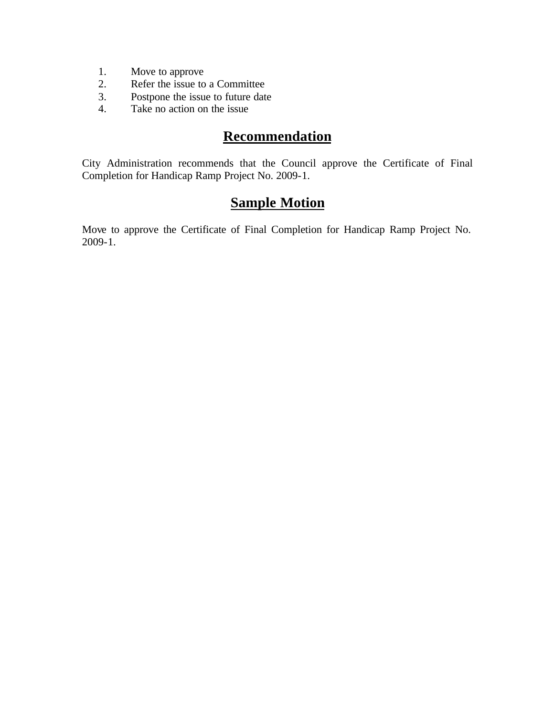- 1. Move to approve<br>2. Refer the issue to
- Refer the issue to a Committee
- 3. Postpone the issue to future date
- 4. Take no action on the issue

## **Recommendation**

City Administration recommends that the Council approve the Certificate of Final Completion for Handicap Ramp Project No. 2009-1.

### **Sample Motion**

Move to approve the Certificate of Final Completion for Handicap Ramp Project No. 2009-1.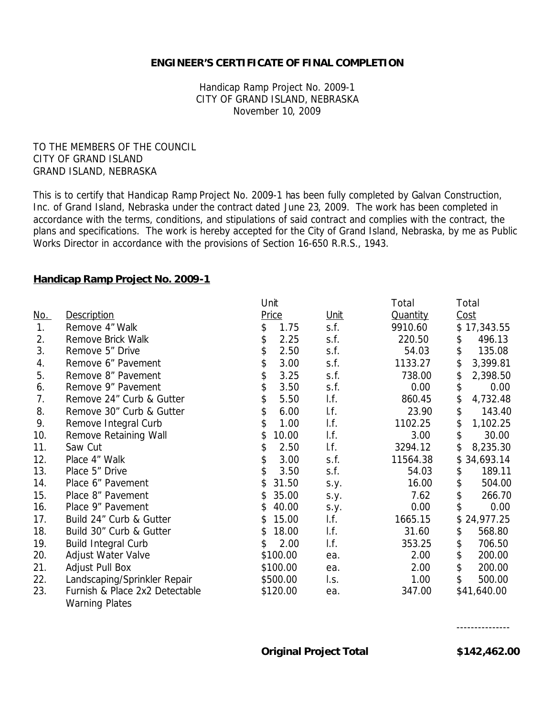#### **ENGINEER'S CERTIFICATE OF FINAL COMPLETION**

Handicap Ramp Project No. 2009-1 CITY OF GRAND ISLAND, NEBRASKA November 10, 2009

TO THE MEMBERS OF THE COUNCIL CITY OF GRAND ISLAND GRAND ISLAND, NEBRASKA

This is to certify that Handicap Ramp Project No. 2009-1 has been fully completed by Galvan Construction, Inc. of Grand Island, Nebraska under the contract dated June 23, 2009. The work has been completed in accordance with the terms, conditions, and stipulations of said contract and complies with the contract, the plans and specifications. The work is hereby accepted for the City of Grand Island, Nebraska, by me as Public Works Director in accordance with the provisions of Section 16-650 R.R.S., 1943.

#### **Handicap Ramp Project No. 2009-1**

|            |                                | Unit        |             | Total           | Total           |
|------------|--------------------------------|-------------|-------------|-----------------|-----------------|
| <u>No.</u> | <b>Description</b>             | Price       | <u>Unit</u> | <b>Quantity</b> | <u>Cost</u>     |
| 1.         | Remove 4" Walk                 | \$<br>1.75  | s.f.        | 9910.60         | \$17,343.55     |
| 2.         | Remove Brick Walk              | \$<br>2.25  | s.f.        | 220.50          | 496.13<br>\$    |
| 3.         | Remove 5" Drive                | \$<br>2.50  | s.f.        | 54.03           | \$<br>135.08    |
| 4.         | Remove 6" Pavement             | \$<br>3.00  | s.f.        | 1133.27         | \$<br>3,399.81  |
| 5.         | Remove 8" Pavement             | \$<br>3.25  | s.f.        | 738.00          | \$<br>2,398.50  |
| 6.         | Remove 9" Pavement             | \$<br>3.50  | s.f.        | 0.00            | \$<br>0.00      |
| 7.         | Remove 24" Curb & Gutter       | \$<br>5.50  | I.f.        | 860.45          | \$<br>4,732.48  |
| 8.         | Remove 30" Curb & Gutter       | \$<br>6.00  | If.         | 23.90           | \$<br>143.40    |
| 9.         | Remove Integral Curb           | \$<br>1.00  | I.f.        | 1102.25         | \$<br>1,102.25  |
| 10.        | Remove Retaining Wall          | 10.00<br>\$ | I.f.        | 3.00            | \$<br>30.00     |
| 11.        | Saw Cut                        | \$<br>2.50  | If.         | 3294.12         | \$<br>8,235.30  |
| 12.        | Place 4" Walk                  | \$<br>3.00  | s.f.        | 11564.38        | 34,693.14<br>\$ |
| 13.        | Place 5" Drive                 | \$<br>3.50  | s.f.        | 54.03           | 189.11<br>\$    |
| 14.        | Place 6" Pavement              | 31.50<br>\$ | s.y.        | 16.00           | \$<br>504.00    |
| 15.        | Place 8" Pavement              | 35.00<br>\$ | s.y.        | 7.62            | \$<br>266.70    |
| 16.        | Place 9" Pavement              | 40.00<br>\$ | S.y.        | 0.00            | \$<br>0.00      |
| 17.        | Build 24" Curb & Gutter        | 15.00<br>S  | I.f.        | 1665.15         | \$<br>24,977.25 |
| 18.        | Build 30" Curb & Gutter        | \$<br>18.00 | I.f.        | 31.60           | \$<br>568.80    |
| 19.        | <b>Build Integral Curb</b>     | 2.00<br>\$  | I.f.        | 353.25          | \$<br>706.50    |
| 20.        | Adjust Water Valve             | \$100.00    | ea.         | 2.00            | \$<br>200.00    |
| 21.        | Adjust Pull Box                | \$100.00    | ea.         | 2.00            | \$<br>200.00    |
| 22.        | Landscaping/Sprinkler Repair   | \$500.00    | I.s.        | 1.00            | \$<br>500.00    |
| 23.        | Furnish & Place 2x2 Detectable | \$120.00    | ea.         | 347.00          | \$41,640.00     |
|            | <b>Warning Plates</b>          |             |             |                 |                 |

---------------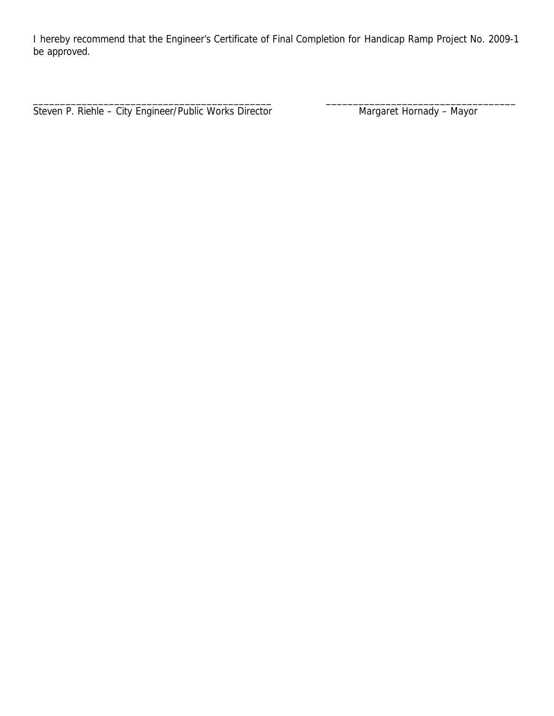I hereby recommend that the Engineer's Certificate of Final Completion for Handicap Ramp Project No. 2009-1 be approved.

\_\_\_\_\_\_\_\_\_\_\_\_\_\_\_\_\_\_\_\_\_\_\_\_\_\_\_\_\_\_\_\_\_\_\_\_\_\_\_\_\_\_\_\_ \_\_\_\_\_\_\_\_\_\_\_\_\_\_\_\_\_\_\_\_\_\_\_\_\_\_\_\_\_\_\_\_\_\_\_

Steven P. Riehle - City Engineer/Public Works Director Margaret Hornady - Mayor